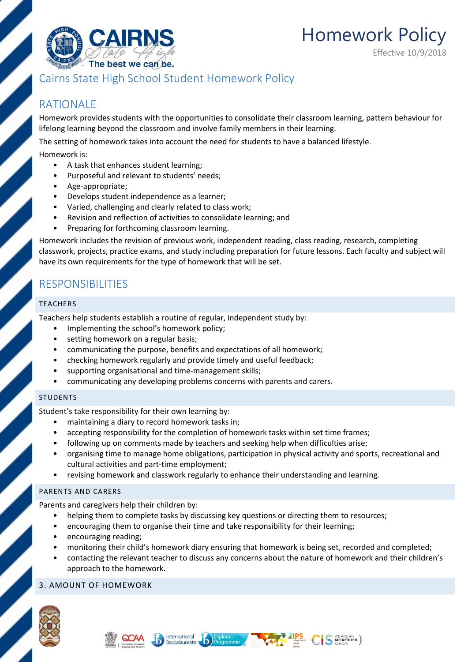

Homework Policy Effective 10/9/2018

## Cairns State High School Student Homework Policy

# RATIONALE

Homework provides students with the opportunities to consolidate their classroom learning, pattern behaviour for lifelong learning beyond the classroom and involve family members in their learning.

The setting of homework takes into account the need for students to have a balanced lifestyle.

Homework is:

- A task that enhances student learning;
- Purposeful and relevant to students' needs;
- Age-appropriate;
- Develops student independence as a learner;
- Varied, challenging and clearly related to class work;
- Revision and reflection of activities to consolidate learning; and
- Preparing for forthcoming classroom learning.

Homework includes the revision of previous work, independent reading, class reading, research, completing classwork, projects, practice exams, and study including preparation for future lessons. Each faculty and subject will have its own requirements for the type of homework that will be set.

## RESPONSIBILITIES

#### TEACHERS

Teachers help students establish a routine of regular, independent study by:

- Implementing the school's homework policy;
- setting homework on a regular basis;
- communicating the purpose, benefits and expectations of all homework;
- checking homework regularly and provide timely and useful feedback;
- supporting organisational and time-management skills;
- communicating any developing problems concerns with parents and carers.

#### STUDENTS

Student's take responsibility for their own learning by:

- maintaining a diary to record homework tasks in;
- accepting responsibility for the completion of homework tasks within set time frames;
- following up on comments made by teachers and seeking help when difficulties arise;
- organising time to manage home obligations, participation in physical activity and sports, recreational and cultural activities and part-time employment;
- revising homework and classwork regularly to enhance their understanding and learning.

#### PARENTS AND CARERS

Parents and caregivers help their children by:

helping them to complete tasks by discussing key questions or directing them to resources;

 $\mathbf{b}$ ) Programme

• encouraging them to organise their time and take responsibility for their learning;

International

Baccalaureate

- encouraging reading;
- monitoring their child's homework diary ensuring that homework is being set, recorded and completed;
- contacting the relevant teacher to discuss any concerns about the nature of homework and their children's approach to the homework.

#### 3. AMOUNT OF HOMEWORK